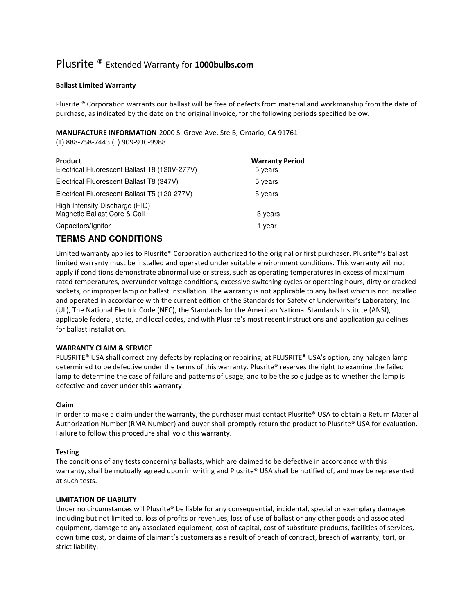# Plusrite ® Extended Warranty for 1000bulbs.com

### Ballast Limited Warranty

Plusrite ® Corporation warrants our ballast will be free of defects from material and workmanship from the date of purchase, as indicated by the date on the original invoice, for the following periods specified below.

MANUFACTURE INFORMATION 2000 S. Grove Ave, Ste B, Ontario, CA 91761

(T) 888-758-7443 (F) 909-930-9988

| Product<br>Electrical Fluorescent Ballast T8 (120V-277V)       | <b>Warranty Period</b><br>5 years |
|----------------------------------------------------------------|-----------------------------------|
| Electrical Fluorescent Ballast T8 (347V)                       | 5 years                           |
| Electrical Fluorescent Ballast T5 (120-277V)                   | 5 years                           |
| High Intensity Discharge (HID)<br>Magnetic Ballast Core & Coil | 3 years                           |
| Capacitors/Ignitor                                             | 1 vear                            |

## **TERMS AND CONDITIONS**

Limited warranty applies to Plusrite® Corporation authorized to the original or first purchaser. Plusrite®'s ballast limited warranty must be installed and operated under suitable environment conditions. This warranty will not apply if conditions demonstrate abnormal use or stress, such as operating temperatures in excess of maximum rated temperatures, over/under voltage conditions, excessive switching cycles or operating hours, dirty or cracked sockets, or improper lamp or ballast installation. The warranty is not applicable to any ballast which is not installed and operated in accordance with the current edition of the Standards for Safety of Underwriter's Laboratory, Inc (UL), The National Electric Code (NEC), the Standards for the American National Standards Institute (ANSI), applicable federal, state, and local codes, and with Plusrite's most recent instructions and application guidelines for ballast installation.

#### WARRANTY CLAIM & SERVICE

PLUSRITE® USA shall correct any defects by replacing or repairing, at PLUSRITE® USA's option, any halogen lamp determined to be defective under the terms of this warranty. Plusrite® reserves the right to examine the failed lamp to determine the case of failure and patterns of usage, and to be the sole judge as to whether the lamp is defective and cover under this warranty

#### Claim

In order to make a claim under the warranty, the purchaser must contact Plusrite® USA to obtain a Return Material Authorization Number (RMA Number) and buyer shall promptly return the product to Plusrite® USA for evaluation. Failure to follow this procedure shall void this warranty.

#### **Testing**

The conditions of any tests concerning ballasts, which are claimed to be defective in accordance with this warranty, shall be mutually agreed upon in writing and Plusrite® USA shall be notified of, and may be represented at such tests.

#### LIMITATION OF LIABILITY

Under no circumstances will Plusrite® be liable for any consequential, incidental, special or exemplary damages including but not limited to, loss of profits or revenues, loss of use of ballast or any other goods and associated equipment, damage to any associated equipment, cost of capital, cost of substitute products, facilities of services, down time cost, or claims of claimant's customers as a result of breach of contract, breach of warranty, tort, or strict liability.